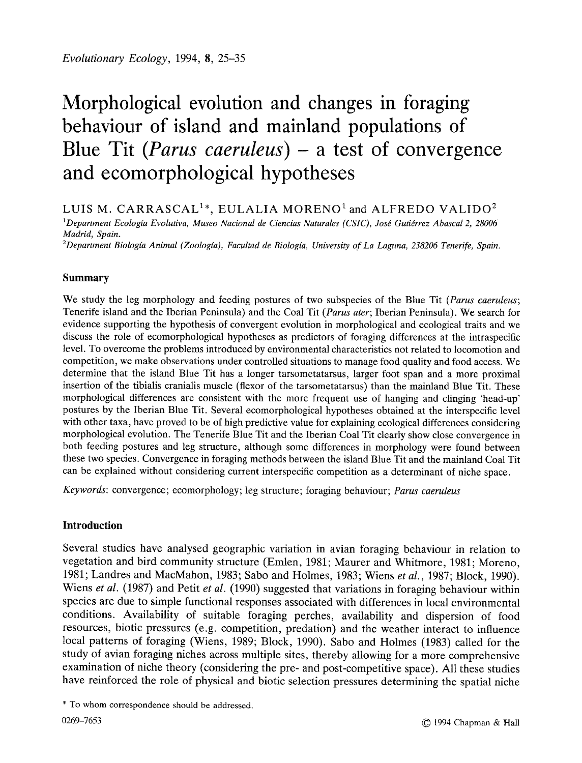# **Morphological evolution and changes in foraging behaviour of island and mainland populations of Blue Tit** *(Parus caeruleus)* **- a test of convergence and ecomorphological hypotheses**

LUIS M. CARRASCAL<sup>1\*</sup>, EULALIA MORENO<sup>1</sup> and ALFREDO VALIDO<sup>2</sup>

<sup>1</sup>Department Ecología Evolutiva, Museo Nacional de Ciencias Naturales (CSIC), José Gutiérrez Abascal 2, 28006 *Madrid, Spain.* 

*2Department Biologla Animal (Zoologfa), Facultad de Biologfa, University of La Laguna, 238206 Tenerife, Spain.* 

## **Summary**

We study the leg morphology and feeding postures of two subspecies of the Blue Tit *(Parus caeruleus;*  Tenerife island and the Iberian Peninsula) and the Coal Tit *(Parus ater;* Iberian Peninsula). We search for evidence supporting the hypothesis of convergent evolution in morphological and ecological traits and we discuss the role of ecomorphological hypotheses as predictors of foraging differences at the intraspecific level. To overcome the problems introduced by environmental characteristics not related to locomotion and competition, we make observations under controlled situations to manage food quality and food access. We determine that the island Blue Tit has a longer tarsometatarsus, larger foot span and a more proximal insertion of the tibialis cranialis muscle (flexor of the tarsometatarsus) than the mainland Blue Tit. These morphological differences are consistent with the more frequent use of hanging and clinging 'head-up' postures by the Iberian Blue Tit. Several ecomorphological hypotheses obtained at the interspecific level with other taxa, have proved to be of high predictive value for explaining ecological differences considering morphological evolution. The Tenerife Blue Tit and the Iberian Coal Tit clearly show close convergence in both feeding postures and leg structure, although some differences in morphology were found between these two species. Convergence in foraging methods between the island Blue Tit and the mainland Coal Tit can be explained without considering current interspecific competition as a determinant of niche space.

*Keywords:* convergence; ecomorphology; leg structure; foraging behaviour; *Parus caeruleus* 

## **Introduction**

Several studies have analysed geographic variation in avian foraging behaviour in relation to vegetation and bird community structure (Emlen, 1981; Maurer and Whitmore, 1981; Moreno, 1981; Landres and MacMahon, 1983; Sabo and Holmes, 1983; Wiens *et al.,* 1987; Block, 1990). Wiens *et al.* (1987) and Petit *et al.* (1990) suggested that variations in foraging behaviour within species are due to simple functional responses associated with differences in local environmental conditions. Availability of suitable foraging perches, availability and dispersion of food resources, biotic pressures (e.g. competition, predation) and the weather interact to influence local patterns of foraging (Wiens, 1989; Block, 1990). Sabo and Holmes (1983) called for the study of avian foraging niches across multiple sites, thereby allowing for a more comprehensive examination of niche theory (considering the pre- and post-competitive space). All these studies have reinforced the role of physical and biotic selection pressures determining the spatial niche

\* To whom correspondence should be addressed.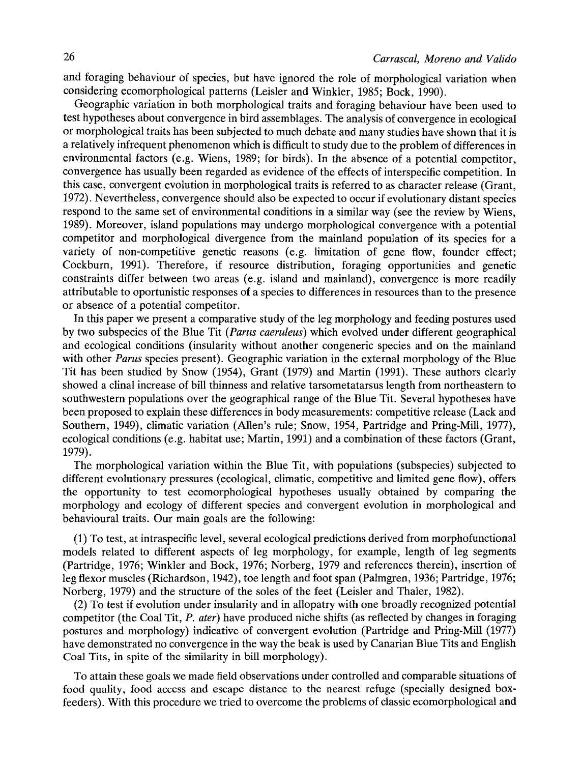and foraging behaviour of species, but have ignored the role of morphological variation when considering ecomorphological patterns (Leisler and Winkler, 1985; Bock, 1990).

Geographic variation in both morphological traits and foraging behaviour have been used to test hypotheses about convergence in bird assemblages. The analysis of convergence in ecological or morphological traits has been subjected to much debate and many studies have shown that it is a relatively infrequent phenomenon which is difficult to study due to the problem of differences in environmental factors (e.g. Wiens, 1989; for birds). In the absence of a potential competitor, convergence has usually been regarded as evidence of the effects of interspecific competition. In this case, convergent evolution in morphological traits is referred to as character release (Grant, 1972). Nevertheless, convergence should also be expected to occur if evolutionary distant species respond to the same set of environmental conditions in a similar way (see the review by Wiens, 1989). Moreover, island populations may undergo morphological convergence with a potential competitor and morphological divergence from the mainland population of its species for a variety of non-competitive genetic reasons (e.g. limitation of gene flow, founder effect; Cockburn, 1991). Therefore, if resource distribution, foraging opportunities and genetic constraints differ between two areas (e.g. island and mainland), convergence is more readily attributable to oportunistic responses of a species to differences in resources than to the presence or absence of a potential competitor.

In this paper we present a comparative study of the leg morphology and feeding postures used by two subspecies of the Blue Tit *(Parus caeruleus)* which evolved under different geographical and ecological conditions (insularity without another congeneric species and on the mainland with other *Parus* species present). Geographic variation in the external morphology of the Blue Tit has been studied by Snow (1954), Grant (1979) and Martin (1991). These authors clearly showed a clinal increase of bill thinness and relative tarsometatarsus length from northeastern to southwestern populations over the geographical range of the Blue Tit. Several hypotheses have been proposed to explain these differences in body measurements: competitive release (Lack and Southern, 1949), climatic variation (Allen's rule; Snow, 1954, Partridge and Pring-Mill, 1977), ecological conditions (e.g. habitat use; Martin, 1991) and a combination of these factors (Grant, 1979).

The morphological variation within the Blue Tit, with populations (subspecies) subjected to different evolutionary pressures (ecological, climatic, competitive and limited gene flow), offers the opportunity to test eeomorphological hypotheses usually obtained by comparing the morphology and ecology of different species and convergent evolution in morphological and behavioural traits. Our main goals are the following:

(1) To test, at intraspecific level, several ecological predictions derived from morphofunctional models related to different aspects of leg morphology, for example, length of leg segments (Partridge, 1976; Winkler and Bock, 1976; Norberg, 1979 and references therein), insertion of leg flexor muscles (Richardson, 1942), toe length and foot span (Palmgren, 1936; Partridge, 1976; Norberg, 1979) and the structure of the soles of the feet (Leisler and Thaler, 1982),

(2) To test if evolution under insularity and in allopatry with one broadly recognized potential competitor (the Coal Tit, *P. ater)* have produced niche shifts (as reflected by changes in foraging postures and morphology) indicative of convergent evolution (Partridge and Pring-Mill (1977) have demonstrated no convergence in the way the beak is used by Canarian Blue Tits and English Coal Tits, in spite of the similarity in bill morphology).

To attain these goals we made field observations under controlled and comparable situations of food quality, food access and escape distance to the nearest refuge (specially designed boxfeeders). With this procedure we tried to overcome the problems of classic ecomorphological and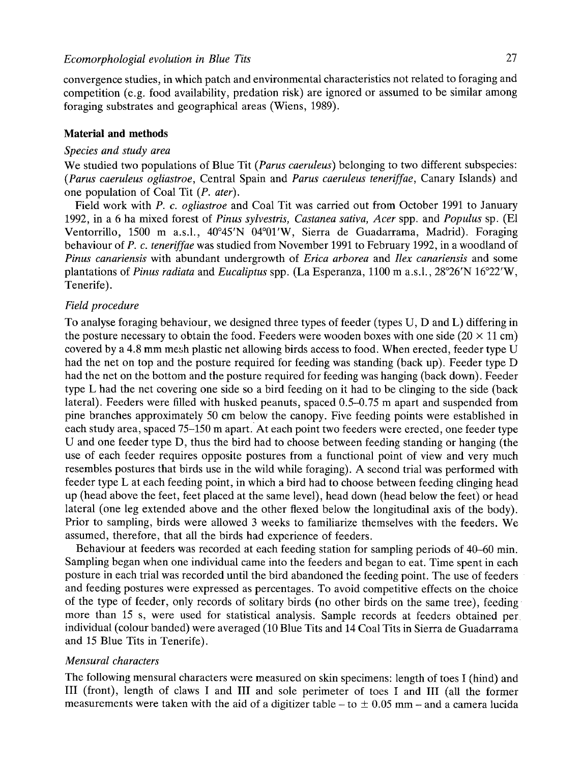convergence studies, in which patch and environmental characteristics not related to foraging and competition (e.g. food availability, predation risk) are ignored or assumed to be similar among foraging substrates and geographical areas (Wiens, 1989).

## **Material and methods**

#### *Species and study area*

We studied two populations of Blue Tit *(Parus caeruleus)* belonging to two different subspecies: *(Parus caeruleus ogliastroe,* Central Spain and *Parus caeruleus teneriffae,* Canary Islands) and one population of Coal Tit *(P. ater).* 

Field work with *P. c. ogliastroe* and Coal Tit was carried out from October 1991 to January 1992, in a 6 ha mixed forest of *Pinus sylvestris, Castanea sativa, Acer* spp. and *Populus* sp. (El Ventorrillo, 1500 m a.s.1., 40°45'N 04°01'W, Sierra de Guadarrama, Madrid). Foraging behaviour of *P. c. teneriffae* was studied from November 1991 to February 1992, in a woodland of *Pinus canariensis* with abundant undergrowth of *Erica arborea* and *Ilex canariensis* and some plantations of *Pinus radiata* and *Eucaliptus* spp. (La Esperanza, 1t00 m a.s.l., 28°26'N 16°22'W, Tenerife).

### *Field procedure*

To analyse foraging behaviour, we designed three types of feeder (types U, D and L) differing in the posture necessary to obtain the food. Feeders were wooden boxes with one side ( $20 \times 11$  cm) covered by a 4.8 mm mesh plastic net allowing birds access to food. When erected, feeder type U had the net on top and the posture required for feeding was standing (back up). Feeder type D had the net on the bottom and the posture required for feeding was hanging (back down). Feeder type L had the net covering one side so a bird feeding on it had to be clinging to the side (back lateral). Feeders were filled with husked peanuts, spaced 0.5-0.75 m apart and suspended from pine branches approximately 50 cm below the canopy. Five feeding points were established in each study area, spaced 75-150 m apart. At each point two feeders were erected, one feeder type U and one feeder type D, thus the bird had to choose between feeding standing or hanging (the use of each feeder requires opposite postures from a functional point of view and very much resembles postures that birds use in the wild while foraging). A second trial was performed with feeder type L at each feeding point, in which a bird had to choose between feeding clinging head up (head above the feet, feet placed at the same level), head down (head below the feet) or head lateral (one leg extended above and the other flexed below the longitudinal axis of the body). Prior to sampling, birds were allowed 3 weeks to familiarize themselves with the feeders. We assumed, therefore, that all the birds had experience of feeders.

Behaviour at feeders was recorded at each feeding station for sampling periods of 40-60 min. Sampling began when one individual came into the feeders and began to eat. Time spent in each posture in each trial was recorded until the bird abandoned the feeding point. The use of feeders and feeding postures were expressed as percentages. To avoid competitive effects on the choice of the type of feeder, only records of solitary birds (no other birds on the same tree), feeding more than 15 s, were used for statistical analysis. Sample records at feeders obtained per individual (colour banded) were averaged (10 Blue Tits and 14 Coal Tits in Sierra de Guadarrama and 15 Blue Tits in Tenerife).

## *Mensural characters*

The following mensural characters were measured on skin specimens: length of toes I (hind) and III (front), length of claws I and III and sole perimeter of toes I and III (all the former measurements were taken with the aid of a digitizer table  $-$  to  $\pm$  0.05 mm - and a camera lucida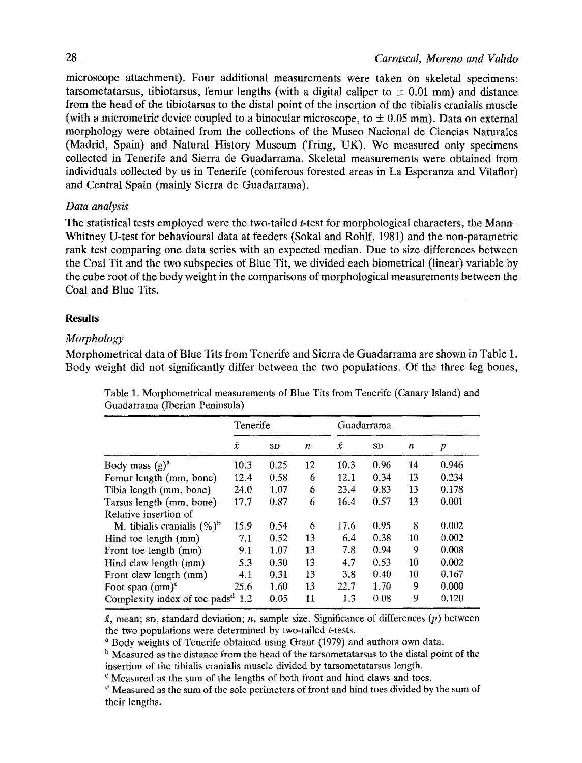microscope attachment). Four additional measurements were taken on skeletal specimens: tarsometatarsus, tibiotarsus, femur lengths (with a digital caliper to  $\pm$  0.01 mm) and distance from the head of the tibiotarsus to the distal point of the insertion of the tibialis cranialis muscle (with a micrometric device coupled to a binocular microscope, to  $\pm$  0.05 mm). Data on external morphology were obtained from the collections of the Museo Nacional de Ciencias Naturates (Madrid, Spain) and Natural History Museum (Tring, UK). We measured only specimens collected in Tenerife and Sierra de Guadarrama. Skeletal measurements were obtained from individuals collected by us in Tenerife (coniferous forested areas in La Esperanza and Vilaflor) and Central Spain (mainly Sierra de Guadarrama).

# *Data analysis*

The statistical tests employed were the two-tailed *t*-test for morphological characters, the Mann-Whitney U-test for behavioural data at feeders (Sokal and Rohlf, 1981) and the non-parametric rank test comparing one data series with an expected median. Due to size differences between the Coal Tit and the two subspecies of Blue Tit, we divided each biometrical (linear) variable by the cube root of the body weight in the comparisons of morphological measurements between the Coal and Blue Tits.

# **Results**

# *Morphology*

Morphometrical data of Blue Tits from Tenerife and Sierra de Guadarrama are shown in Table 1. Body weight did not significantly differ between the two populations. Of the three leg bones,

|                                             | Tenerife |           |                  | Guadarrama |      |    |       |
|---------------------------------------------|----------|-----------|------------------|------------|------|----|-------|
|                                             | ž        | <b>SD</b> | $\boldsymbol{n}$ | Ĩ          | SD   | n  | p     |
| Body mass $(g)^a$                           | 10.3     | 0.25      | 12               | 10.3       | 0.96 | 14 | 0.946 |
| Femur length (mm, bone)                     | 12.4     | 0.58      | 6                | 12.1       | 0.34 | 13 | 0.234 |
| Tibia length (mm, bone)                     | 24.0     | 1.07      | 6                | 23.4       | 0.83 | 13 | 0.178 |
| Tarsus length (mm, bone)                    | 17.7     | 0.87      | 6                | 16.4       | 0.57 | 13 | 0.001 |
| Relative insertion of                       |          |           |                  |            |      |    |       |
| M. tibialis cranialis $(\%)^{\mathfrak{d}}$ | 15.9     | 0.54      | 6                | 17.6       | 0.95 | 8  | 0.002 |
| Hind toe length (mm)                        | 7.1      | 0.52      | 13               | 6.4        | 0.38 | 10 | 0.002 |
| Front toe length (mm)                       | 9.1      | 1.07      | 13               | 7.8        | 0.94 | 9  | 0.008 |
| Hind claw length (mm)                       | 5.3      | 0.30      | 13               | 4.7        | 0.53 | 10 | 0.002 |
| Front claw length (mm)                      | 4.1      | 0.31      | 13               | 3.8        | 0.40 | 10 | 0.167 |
| Foot span $(mm)^c$                          | 25.6     | 1.60      | 13               | 22.7       | 1.70 | 9  | 0.000 |
| Complexity index of toe pads <sup>d</sup>   | 1.2      | 0.05      | 11               | 1.3        | 0.08 | 9  | 0.120 |

Table 1. Morphometrical measurements of Blue Tits from Tenerife (Canary Island) and Guadarrama (Iberian Peninsula)

 $\bar{x}$ , mean; sp, standard deviation; n, sample size. Significance of differences (p) between the two populations were determined by two-tailed t-tests.

<sup>a</sup> Body weights of Tenerife obtained using Grant (1979) and authors own data.

 $<sup>b</sup>$  Measured as the distance from the head of the tarsometatarsus to the distal point of the</sup> insertion of the tibialis cranialis muscle divided by tarsometatarsus length.

c Measured as the sum of the lengths of both front and hind claws and toes.

d Measured as the sum of the sole perimeters of front and hind toes divided by the sum of their lengths.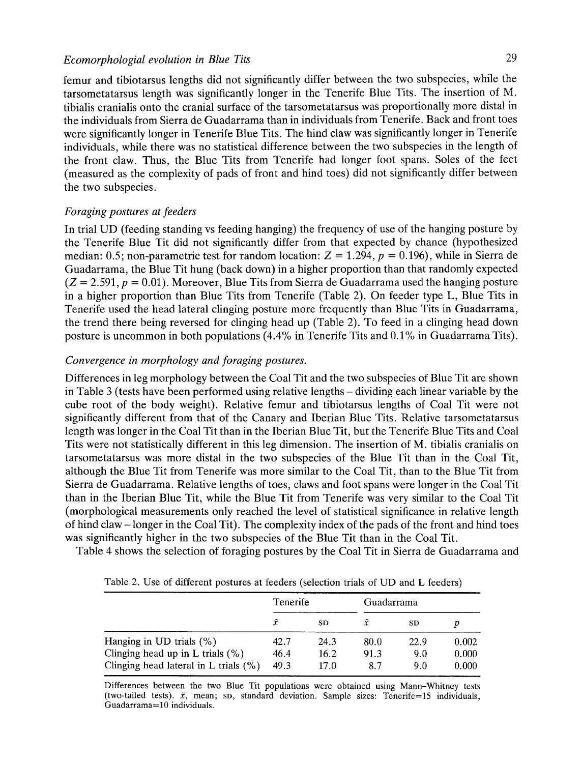# *Ecomorphologial evolution in Blue Tits* 29

femur and tibiotarsus lengths did not significantly differ between the two subspecies, while the tarsometatarsus length was significantly longer in the Tenerife Blue Tits. The insertion of M. tibialis cranialis onto the cranial surface of the tarsometatarsus was proportionally more distal in the individuals from Sierra de Guadarrama than in individuals from Tenerife. Back and front toes were significantly longer in Tenerife Blue Tits. The hind claw was significantly longer in Tenerife individuals, while there was no statistical difference between the two subspecies in the length of the front claw. Thus, the Blue Tits from Tenerife had longer foot spans. Soles of the feet (measured as the complexity of pads of front and hind toes) did not significantly differ between the two subspecies.

## *Foraging postures at feeders*

In trial UD (feeding standing vs feeding hanging) the frequency of use of the hanging posture by the Tenerife Blue Tit did not significantly differ from that expected by chance (hypothesized median: 0.5; non-parametric test for random location:  $Z = 1.294$ ,  $p = 0.196$ ), while in Sierra de Guadarrama, the Blue Tit hung (back down) in a higher proportion than that randomly expected  $(Z = 2.591, p = 0.01)$ . Moreover, Blue Tits from Sierra de Guadarrama used the hanging posture in a higher proportion than Blue Tits from Tenerife (Table 2). On feeder type L, Blue Tits in Tenerife used the head lateral clinging posture more frequently than Blue Tits in Guadarrama, the trend there being reversed for clinging head up (Table 2). To feed in a clinging head down posture is uncommon in both populations (4.4% in Tenerife Tits and 0.1% in Guadarrama Tits).

## *Convergence in morphology and foraging postures.*

Differences in leg morphology between the Coal Tit and the two subspecies of Blue Tit are shown in Table 3 (tests have been performed using relative lengths - dividing each linear variable by the cube root of the body weight). Relative femur and tibiotarsus lengths of Coal Tit were not significantly different from that of the Canary and Iberian Blue Tits. Relative tarsometatarsus length was longer in the Coal Tit than in the Iberian Blue Tit, but the Tenerife Blue Tits and Coal Tits were not statistically different in this leg dimension. The insertion of M. tibialis cranialis on tarsometatarsus was more distal in the two subspecies of the Blue Tit than in the Coal Tit, although the Blue Tit from Tenerife was more similar to the Coal Tit, than to the Blue Tit from Sierra de Guadarrama. Relative lengths of toes, claws and foot spans were longer in the Coal Tit than in the Iberian Blue Tit, while the Blue Tit from Tenerife was very similar to the Coal Tit (morphological measurements only reached the level of statistical significance in relative length of hind claw - longer in the Coal Tit). The complexity index of the pads of the front and hind toes was significantly higher in the two subspecies of the Blue Tit than in the Coal Tit.

Table 4 shows the selection of foraging postures by the Coal Tit in Sierra de Guadarrama and

| Table 2. Use of different postures at feeders (selection trials of UD and L feeders) |  |
|--------------------------------------------------------------------------------------|--|
|--------------------------------------------------------------------------------------|--|

|                                          | Tenerife |      | Guadarrama |      |       |
|------------------------------------------|----------|------|------------|------|-------|
|                                          | Ÿ        | SD   |            | SD   |       |
| Hanging in UD trials $(\% )$             | 42.7     | 24.3 | 80.0       | 22.9 | 0.002 |
| Clinging head up in L trials $(\%)$      | 46.4     | 16.2 | 91.3       | 9.0  | 0.000 |
| Clinging head lateral in L trials $(\%)$ | 49.3     | 17.0 | 8.7        | 9.0  | 0.000 |

Differences between the two Blue Tit populations were obtained using Mann-Whitney tests (two-tailed tests).  $\bar{x}$ , mean; sp, standard deviation. Sample sizes: Tenerife=15 individuals, Guadarrama= 10 individuals.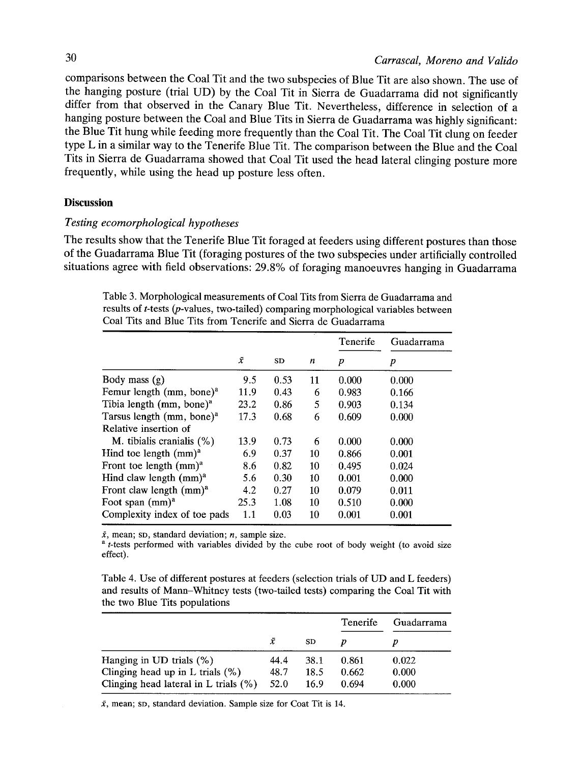comparisons between the Coal Tit and the two subspecies of Blue Tit are also shown. The use of the hanging posture (trial UD) by the Coal Tit in Sierra de Guadarrama did not significantly differ from that observed in the Canary Blue Tit. Nevertheless, difference in selection of a hanging posture between the Coal and Blue Tits in Sierra de Guadarrama was highly significant: the Blue Tit hung while feeding more frequently than the Coal Tit. The Coal Tit clung on feeder type L in a similar way to the Tenerife Blue Tit. The comparison between the Blue and the Coal Tits in Sierra de Guadarrama showed that Coal Tit used the head lateral clinging posture more frequently, while using the head up posture less often.

## **Discussion**

## *Testing ecomorphological hypotheses*

The results show that the Tenerife Blue Tit foraged at feeders using different postures than those of the Guadarrama Blue Tit (foraging postures of the two subspecies under artificially controlled situations agree with field observations: 29.8% of foraging manoeuvres hanging in Guadarrama

| Table 3. Morphological measurements of Coal Tits from Sierra de Guadarrama and      |
|-------------------------------------------------------------------------------------|
| results of t-tests (p-values, two-tailed) comparing morphological variables between |
| Coal Tits and Blue Tits from Tenerife and Sierra de Guadarrama                      |

|                                      |      |           |    | Tenerife | Guadarrama |
|--------------------------------------|------|-----------|----|----------|------------|
|                                      | x    | <b>SD</b> | n  | p        | p          |
| Body mass $(g)$                      | 9.5  | 0.53      | 11 | 0.000    | 0.000      |
| Femur length (mm, bone) <sup>a</sup> | 11.9 | 0.43      | 6  | 0.983    | 0.166      |
| Tibia length (mm, bone) <sup>a</sup> | 23.2 | 0.86      | 5  | 0.903    | 0.134      |
| Tarsus length $(mm, bone)^a$         | 17.3 | 0.68      | 6  | 0.609    | 0.000      |
| Relative insertion of                |      |           |    |          |            |
| M. tibialis cranialis $(\%)$         | 13.9 | 0.73      | 6  | 0.000    | 0.000      |
| Hind toe length $(mm)^a$             | 6.9  | 0.37      | 10 | 0.866    | 0.001      |
| Front toe length $(mm)^a$            | 8.6  | 0.82      | 10 | 0.495    | 0.024      |
| Hind claw length $(mm)^a$            | 5.6  | 0.30      | 10 | 0.001    | 0.000      |
| Front claw length $(mm)^a$           | 4.2  | 0.27      | 10 | 0.079    | 0.011      |
| Foot span $(mm)a$                    | 25.3 | 1.08      | 10 | 0.510    | 0.000      |
| Complexity index of toe pads         | 1.1  | 0.03      | 10 | 0.001    | 0.001      |

 $\bar{x}$ , mean; SD, standard deviation; *n*, sample size.

<sup>a</sup> *t*-tests performed with variables divided by the cube root of body weight (to avoid size effect).

Table 4. Use of different postures at feeders (selection trials of UD and L feeders) and results of Mann-Whitney tests (two-tailed tests) comparing the Coal Tit with the two Blue Tits populations

|                                                                                                                   |                      |                      | Tenerife                | Guadarrama              |
|-------------------------------------------------------------------------------------------------------------------|----------------------|----------------------|-------------------------|-------------------------|
|                                                                                                                   | x                    | SD                   |                         |                         |
| Hanging in UD trials $(\%)$<br>Clinging head up in $L$ trials $(\%)$<br>Clinging head lateral in L trials $(\% )$ | 44.4<br>48.7<br>52.0 | 38.1<br>18.5<br>16.9 | 0.861<br>0.662<br>0.694 | 0.022<br>0.000<br>0.000 |

 $\bar{x}$ , mean; sp, standard deviation. Sample size for Coat Tit is 14.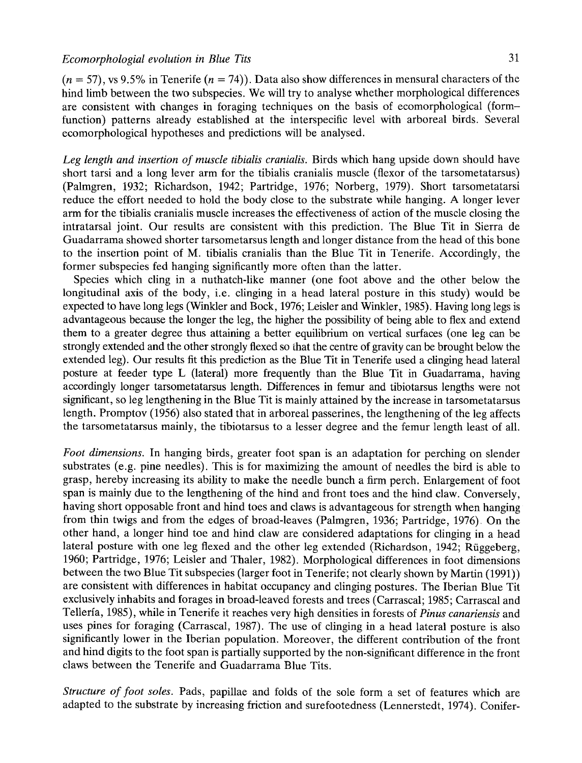## *Ecomorphologial evolution in Blue Tits* 31

 $(n = 57)$ , vs 9.5% in Tenerife  $(n = 74)$ ). Data also show differences in mensural characters of the hind limb between the two subspecies. We will try to analyse whether morphological differences are consistent with changes in foraging techniques on the basis of ecomorphological (formfunction) patterns already established at the interspecific level with arboreal birds. Several ecomorphological hypotheses and predictions will be analysed.

Leg length and insertion of muscle tibialis cranialis. Birds which hang upside down should have short tarsi and a long lever arm for the tibialis cranialis muscle (flexor of the tarsometatarsus) (Palmgren, 1932; Richardson, 1942; Partridge, 1976; Norberg, 1979). Short tarsometatarsi reduce the effort needed to hold the body close to the substrate while hanging. A longer lever arm for the tibialis cranialis muscle increases the effectiveness of action of the muscle closing the intratarsal joint. Our results are consistent with this prediction. The Blue Tit in Sierra de Guadarrama showed shorter tarsometarsus length and longer distance from the head of this bone to the insertion point of M. tibialis cranialis than the Blue Tit in Tenerife. Accordingly, the former subspecies fed hanging significantly more often than the latter.

Species which cling in a nuthatch-like manner (one foot above and the other below the longitudinal axis of the body, i.e. clinging in a head lateral posture in this study) would be expected to have long legs (Winkler and Bock, 1976; Leisler and Winkler, 1985). Having long legs is advantageous because the longer the leg, the higher the possibility of being able to flex and extend them to a greater degree thus attaining a better equilibrium on vertical surfaces (one leg can be strongly extended and the other strongly flexed so that the centre of gravity can be brought below the extended leg). Our results fit this prediction as the Blue Tit in Tenerife used a clinging head lateral posture at feeder type L (lateral) more frequently than the Blue Tit in Guadarrama, having accordingly longer tarsometatarsus length. Differences in femur and tibiotarsus lengths were not significant, so leg lengthening in the Blue Tit is mainly attained by the increase in tarsometatarsus length. Promptov (1956) also stated that in arboreal passerines, the lengthening of the leg affects the tarsometatarsus mainly, the tibiotarsus to a lesser degree and the femur length least of all.

*Foot dimensions.* In hanging birds, greater foot span is an adaptation for perching on slender substrates (e.g. pine needles). This is for maximizing the amount of needles the bird is able to grasp, hereby increasing its ability to make the needle bunch a firm perch. Enlargement of foot span is mainly due to the lengthening of the hind and front toes and the hind claw. Conversely, having short opposable front and hind toes and claws is advantageous for strength when hanging from thin twigs and from the edges of broad-leaves (Palmgren, 1936; Partridge, 1976)~ On the other hand, a longer hind toe and hind claw are considered adaptations for clinging in a head lateral posture with one leg flexed and the other leg extended (Richardson, 1942; Rüggeberg, 1960; Partridge, !976; Leisler and Thaler, 1982). Morphological differences in foot dimensions between the two Blue Tit subspecies (larger foot in Tenerife; not clearly shown by Martin (1991)) are consistent with differences in habitat occupancy and clinging postures. The Iberian Blue Tit exclusively inhabits and forages in broad-leaved forests and trees (Carrascal; 1985; Carrascal and Telleria, 1985), while in Tenerife it reaches very high densities in forests of *Pinus canariensis* and uses pines for foraging (Carrascal, 1987). The use of clinging in a head lateral posture is also significantly lower in the Iberian population. Moreover, the different contribution of the front and hind digits to the foot span is partially supported by the non-significant difference in the front claws between the Tenerife and Guadarrama Blue Tits.

*Structure of foot soles.* Pads, papillae and folds of the sole form a set of features which are adapted to the substrate by increasing friction and surefootedness (Lennerstedt, 1974). Conifer-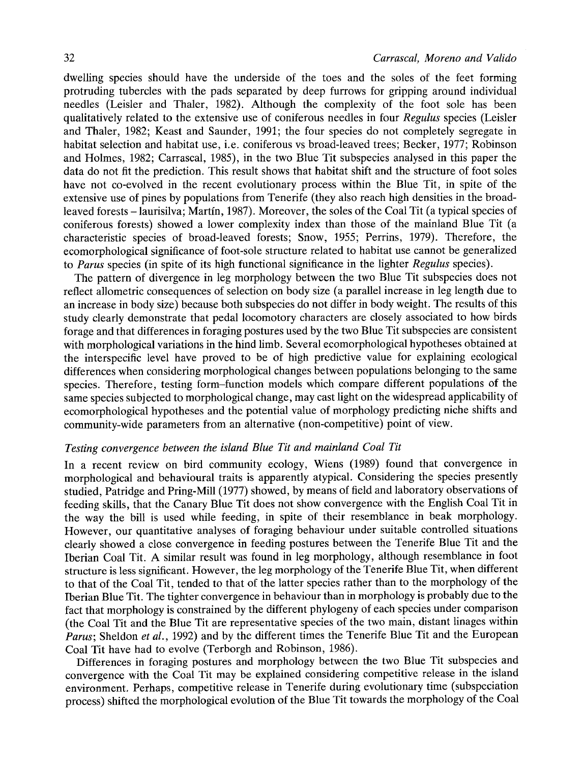dwelling species should have the underside of the toes and the soles of the feet forming protruding tubercles with the pads separated by deep furrows for gripping around individual needles (Leisler and Thaler, 1982). Although the complexity of the foot sole has been qualitatively related to the extensive use of coniferous needles in four *Regulus* species (Leisler and Thaler, 1982; Keast and Saunder, 1991; the four species do not completely segregate in habitat selection and habitat use, i.e. coniferous vs broad-leaved trees; Becker, 1977; Robinson and Holmes, 1982; Carrascal, 1985), in the two Blue Tit subspecies analysed in this paper the data do not fit the prediction. This result shows that habitat shift and the structure of foot soles have not co-evolved in the recent evolutionary process within the Blue Tit, in spite of the extensive use of pines by populations from Tenerife (they also reach high densities in the broadleaved forests - laurisilva; Martín, 1987). Moreover, the soles of the Coal Tit (a typical species of coniferous forests) showed a lower complexity index than those of the mainland Blue Tit (a characteristic species of broad-leaved forests; Snow, 1955; Perrins, 1979). Therefore, the ecomorphological significance of foot-sole structure related to habitat use cannot be generalized to *Parus* species (in spite of its high functional significance in the lighter *Regulus* species).

The pattern of divergence in leg morphology between the two Blue Tit subspecies does not reflect allometric consequences of selection on body size (a parallel increase in leg length due to an increase in body size) because both subspecies do not differ in body weight. The results of this study clearly demonstrate that pedal locomotory characters are closely associated to how birds forage and that differences in foraging postures used by the two Blue Tit subspecies are consistent with morphological variations in the hind limb. Several ecomorphological hypotheses obtained at the interspecific level have proved to be of high predictive value for explaining ecological differences when considering morphological changes between populations belonging to the same species. Therefore, testing form-function models which compare different populations of the same species subjected to morphological change, may cast light on the widespread applicability of ecomorphological hypotheses and the potential value of morphology predicting niche shifts and community-wide parameters from an alternative (non-competitive) point of view.

# *Testing convergence between the island Blue Tit and mainland Coal Tit*

In a recent review on bird community ecology, Wiens (1989) found that convergence in morphological and behavioural traits is apparently atypical. Considering the species presently studied, Patridge and Pring-Mill (1977) showed, by means of field and laboratory observations of feeding skills, that the Canary Blue Tit does not show convergence with the English Coal Tit in the way the bill is used while feeding, in spite of their resemblance in beak morphology. However, our quantitative analyses of foraging behaviour under suitable controlled situations clearly showed a close convergence in feeding postures between the Tenerife Blue Tit and the Iberian Coal Tit. A similar result was found in leg morphology, although resemblance in foot structure is less significant. However, the leg morphology of the Tenerife Blue Tit, when different to that of the Coal Tit, tended to that of the latter species rather than to the morphology of the Iberian Blue Tit. The tighter convergence in behaviour than in morphology is probably due to the fact that morphology is constrained by the different phylogeny of each species under comparison (the Coal Tit and the Blue Tit are representative species of the two main, distant linages within *Parus;* Sheldon *et al.,* 1992) and by the different times the Tenerife Blue Tit and the European Coal Tit have had to evolve (Terborgh and Robinson, 1986).

Differences in foraging postures and morphology between the two Blue Tit subspecies and convergence with the Coal Tit may be explained considering competitive release in the island environment. Perhaps, competitive release in Tenerife during evolutionary time (subspeciation process) shifted the morphological evolution of the Blue Tit towards the morphology of the Coal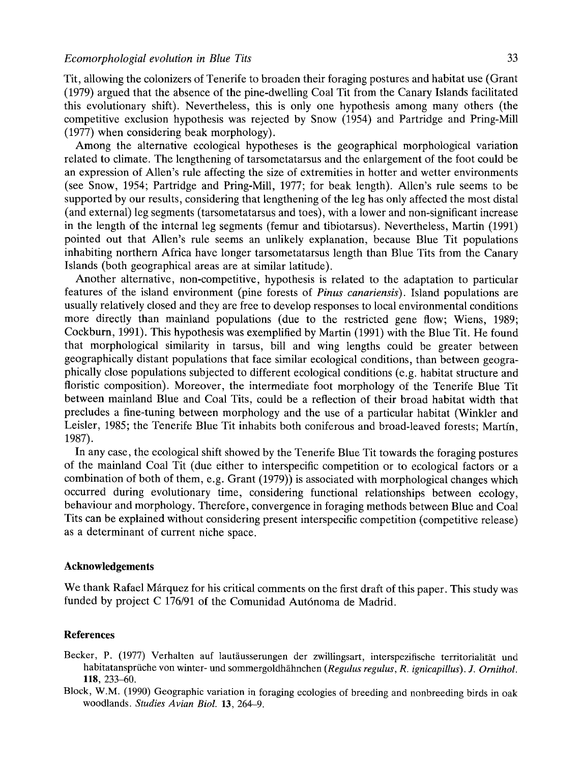Tit, allowing the colonizers of Tenerife to broaden their foraging postures and habitat use (Grant (1979) argued that the absence of the pine-dwelling Coal Tit from the Canary Islands facilitated this evolutionary shift). Nevertheless, this is only one hypothesis among many others (the competitive exclusion hypothesis was rejected by Snow (1954) and Partridge and Pring-Mill (1977) when considering beak morphology).

Among the alternative ecological hypotheses is the geographical morphological variation related to climate. The lengthening of tarsometatarsus and the enlargement of the foot could be an expression of Allen's rule affecting the size of extremities in hotter and wetter environments (see Snow, 1954; Partridge and Pring-Mill, 1977; for beak length). Allen's rule seems to be supported by our results, considering that lengthening of the leg has only affected the most distal (and external) leg segments (tarsometatarsus and toes), with a lower and non-significant increase in the length of the internal leg segments (femur and tibiotarsus). Nevertheless, Martin (1991) pointed out that Allen's rule seems an unlikely explanation, because Blue Tit populations inhabiting northern Africa have longer tarsometatarsus length than Blue Tits from the Canary Islands (both geographical areas are at similar latitude).

Another alternative, non-competitive, hypothesis is related to the adaptation to particular features of the island environment (pine forests of *Pinus canariensis).* Island populations are usually relatively closed and they are free to develop responses to local environmental conditions more directly than mainland populations (due to the restricted gene flow; Wiens, 1989; Cockburn, 1991). This hypothesis was exemplified by Martin (1991) with the Blue Tit. He found that morphological similarity in tarsus, bill and wing lengths could be greater between geographically distant populations that face similar ecological conditions, than between geographically close populations subjected to different ecological conditions (e.g. habitat structure and floristic composition). Moreover, the intermediate foot morphology of the Tenerife Blue Tit between mainland Blue and Coal Tits, could be a reflection of their broad habitat width that precludes a fine-tuning between morphology and the use of a particular habitat (Winkler and Leisler, 1985; the Tenerife Blue Tit inhabits both coniferous and broad-leaved forests; Martfn, 1987).

In any case, the ecological shift showed by the Tenerife Blue Tit towards the foraging postures of the mainland Coal Tit (due either to interspecific competition or to ecological factors or a combination of both of them, e.g. Grant (1979)) is associated with morphological changes which occurred during evolutionary time, considering functional relationships between ecology, behaviour and morphology. Therefore, convergence in foraging methods between Blue and Coal Tits can be explained without considering present interspecific competition (competitive release) as a determinant of current niche space.

## **Acknowledgements**

We thank Rafael Márquez for his critical comments on the first draft of this paper. This study was funded by project C 176/91 of the Comunidad Autónoma de Madrid.

## **References**

- Becker, P. (1977) Verhalten auf lautäusserungen der zwillingsart, interspezifische territorialität und habitatansprüche von winter- und sommergoldhähnchen *(Regulus regulus, R. ignicapillus). J. Ornithol.* 118, 233-60.
- Block, W.M. (1990) Geographic variation in foraging ecologies of breeding and nonbreeding birds in oak woodlands. *Studies Avian Biol.* 13, 264-9.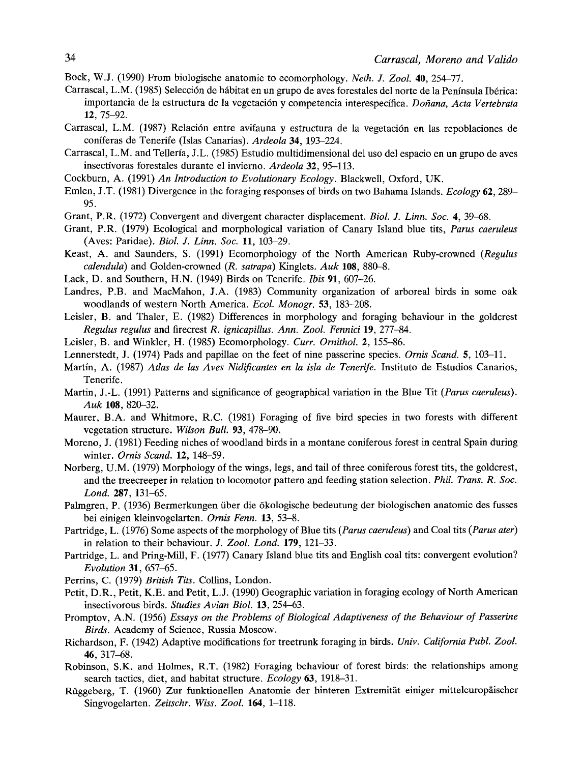Bock, W.J. (1990) From biologische anatomie to ecomorphology. *Neth. J. Zool.* 40, 254-77.

- Carrascal, L.M. (1985) Selecci6n de hfibitat en un grupo de ayes forestales del norte de la Peninsula Ib6rica: importancia de la estructura de la vegetación y competencia interespecífica. *Doñana, Acta Vertebrata* 12, 75-92.
- Carrascal, L.M. (1987) Relaci6n entre avifauna y estructura de la vegetaci6n en las repoblaciones de confferas de Tenerife (Islas Canarias). *Ardeola* 34, 193-224.
- Carrascal, L.M. and Tellerfa, J.L. (1985) Estudio multidimensional del uso del espacio en un grupo de aves insectívoras forestales durante el invierno. *Ardeola* 32, 95-113.
- Cockburn, A. (1991) *An Introduction to Evolutionary Ecology.* Blackwell, Oxford, UK.
- Emlen, J.T. (1981) Divergence in the foraging responses of birds on two Bahama Islands. *Ecology* 62, 289- 95.
- Grant, P.R. (1972) Convergent and divergent character displacement. *Biol. J. Linn. Soc.* 4, 39-68.
- Grant, P.R. (1979) Ecological and morphological variation of Canary Island blue tits, *Parus caeruleus*  (Aves: Paridae). *Biol. J. Linn. Soc.* 11,103-29.
- Keast, A. and Saunders, S. (1991) Ecomorphology of the North American Ruby-crowned *(Regulus calendula)* and Golden-crowned *(R. satrapa)* Kinglets. *Auk* 108, 880-8.
- Lack, D. and Southern, H.N. (1949) Birds on Tenerife. *Ibis* 91, 607-26.
- Landres, P.B. and MacMahon, J.A. (1983) Community organization of arboreal birds in some oak woodlands of western North America. *Ecol. Monogr.* 53, 183-208.
- Leisler, B. and Thaler, E. (1982) Differences in morphology and foraging behaviour in the goldcrest *Regulus regulus* and firecrest *R. ignicapillus. Ann. Zool. Fennici* 19, 277-84.
- Leisler, B. and Winkler, H. (1985) Ecomorphology. *Curt. Ornithol.* 2, 155-86.
- Lennerstedt, J. (1974) Pads and papillae on the feet of nine passerine species. *Ornis Scand. 5,* 103-11.
- Martfn, A. (1987) *Atlas de las Ayes Nidificantes en la isIa de Tenerife.* Instituto de Estudios Canarios, Tenerife.
- Martin, J.-L. (1991) Patterns and significance of geographical variation in the Blue Tit *(Parus caeruleus). Auk* 108, 820-32.
- Maurer, B.A. and Whitmore, R.C. (1981) Foraging of five bird species in two forests with different vegetation structure. *Wilson Bull.* 93, 478-90.
- Moreno, J. (1981) Feeding niches of woodland birds in a montane coniferous forest in central Spain during winter. *Ornis Scand.* 12, 148-59.
- Norberg, U.M. (1979) Morphology of the wings, legs, and tail of three coniferous forest tits, the goldcrest, and the treecreeper in relation to locomotor pattern and feeding station selection. *Phil. Trans. R. Soc. Lond.* 287, 131-65.
- Palmgren, P. (1936) Bermerkungen fiber die 6kologische bedeutung der biologischen anatomie des fusses bei einigen kleinvogelarten. *Ornis Fenn.* 13, 53-8.
- Partridge, L. (1976) Some aspects of the morphology of Blue tits *(Parus caeruleus)* and Coal tits *(Parus ater)*  in relation to their behaviour. *J. Zool. Lond.* 179, 121-33.
- Partridge, L. and Pring-Mill, F. (1977) Canary Island blue tits and English coal tits: convergent evolution? *Evolution* 31,657-65.
- Perrins, C. (1979) *British Tits.* Collins, London.
- Petit, D.R., Petit, K.E. and Petit, L.J. (1990) Geographic variation in foraging ecology of North American insectivorous birds. *Studies Avian Biol.* 13, 254-63.
- Promptov, A.N. (1956) *Essays on the Problems of Biological Adaptiveness of the Behaviour of Passerine Birds.* Academy of Science, Russia Moscow.
- Richardson, F. (1942) Adaptive modifications for treetrunk foraging in birds. *Univ. California Publ. Zool.*  46, 317-68.
- Robinson, S.K. and Holmes, R.T. (1982) Foraging behaviour of forest birds: the relationships among search tactics, diet, and habitat structure. *Ecology* 63, 1918-31.
- Rüggeberg, T. (1960) Zur funktionellen Anatomie der hinteren Extremität einiger mitteleuropäischer Singvogelarten. *Zeitschr. Wiss. Zool.* 164, 1-118.